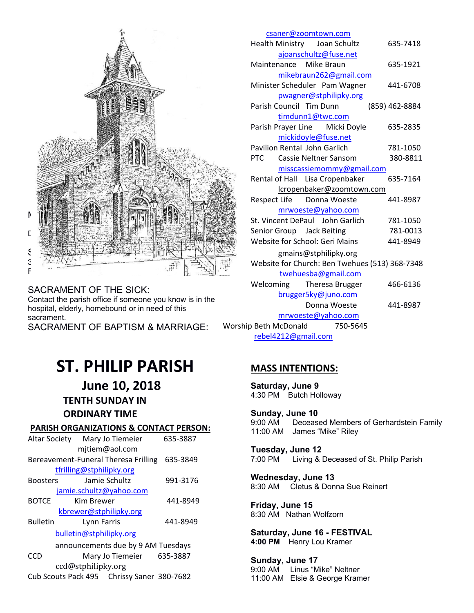

#### SACRAMENT OF THE SICK: Contact the parish office if someone you know is in the hospital, elderly, homebound or in need of this sacrament. SACRAMENT OF BAPTISM & MARRIAGE:

|                       |                                                |  | csaner@zoomtown.com                 |                |  |  |
|-----------------------|------------------------------------------------|--|-------------------------------------|----------------|--|--|
|                       |                                                |  | Health Ministry Joan Schultz        | 635-7418       |  |  |
|                       |                                                |  | ajoanschultz@fuse.net               |                |  |  |
|                       |                                                |  | Maintenance Mike Braun              | 635-1921       |  |  |
|                       |                                                |  | mikebraun262@gmail.com              |                |  |  |
|                       |                                                |  | Minister Scheduler Pam Wagner       | 441-6708       |  |  |
|                       |                                                |  | pwagner@stphilipky.org              |                |  |  |
|                       |                                                |  | Parish Council Tim Dunn             | (859) 462-8884 |  |  |
|                       |                                                |  | timdunn1@twc.com                    |                |  |  |
|                       |                                                |  | Parish Prayer Line Micki Doyle      | 635-2835       |  |  |
|                       |                                                |  | mickidoyle@fuse.net                 |                |  |  |
|                       |                                                |  | Pavilion Rental John Garlich        | 781-1050       |  |  |
|                       | <b>PTC</b>                                     |  | Cassie Neltner Sansom               | 380-8811       |  |  |
|                       |                                                |  | misscassiemommy@gmail.com           |                |  |  |
|                       |                                                |  | Rental of Hall Lisa Cropenbaker     | 635-7164       |  |  |
|                       |                                                |  | lcropenbaker@zoomtown.com           |                |  |  |
|                       |                                                |  | Respect Life Donna Woeste           | 441-8987       |  |  |
|                       |                                                |  | mrwoeste@yahoo.com                  |                |  |  |
|                       |                                                |  | St. Vincent DePaul John Garlich     | 781-1050       |  |  |
|                       |                                                |  | Senior Group Jack Beiting           | 781-0013       |  |  |
|                       |                                                |  | Website for School: Geri Mains      | 441-8949       |  |  |
|                       | gmains@stphilipky.org                          |  |                                     |                |  |  |
|                       | Website for Church: Ben Twehues (513) 368-7348 |  |                                     |                |  |  |
|                       |                                                |  | twehuesba@gmail.com                 |                |  |  |
|                       |                                                |  | Welcoming Theresa Brugger           | 466-6136       |  |  |
|                       |                                                |  | brugger5ky@juno.com<br>Donna Woeste |                |  |  |
|                       |                                                |  | mrwoeste@yahoo.com                  | 441-8987       |  |  |
| Worship Beth McDonald |                                                |  | 750-5645                            |                |  |  |
|                       |                                                |  |                                     |                |  |  |

rebel4212@gmail.com

# **ST. PHILIP PARISH**

 **June 10, 2018 TENTH SUNDAY IN ORDINARY TIME**

# **PARISH ORGANIZATIONS & CONTACT PERSON:**

| Mary Jo Tiemeier<br>Altar Society          | 635-3887 | <b>IT.UU AIVI JAILLES IVIIKE RIIEV</b>                         |  |  |
|--------------------------------------------|----------|----------------------------------------------------------------|--|--|
| mitiem@aol.com                             |          | Tuesday, June 12                                               |  |  |
| Bereavement-Funeral Theresa Frilling       | 635-3849 | Living & Deceased of St. Philip Parish<br>7:00 PM              |  |  |
| tfrilling@stphilipky.org                   |          |                                                                |  |  |
| Jamie Schultz<br><b>Boosters</b>           | 991-3176 | Wednesday, June 13<br>Cletus & Donna Sue Reinert<br>8:30 AM    |  |  |
| jamie.schultz@yahoo.com                    |          |                                                                |  |  |
| <b>BOTCE</b><br>Kim Brewer                 | 441-8949 | Friday, June 15                                                |  |  |
| kbrewer@stphilipky.org                     |          | 8:30 AM Nathan Wolfzorn                                        |  |  |
| <b>Bulletin</b><br>Lynn Farris             | 441-8949 |                                                                |  |  |
| bulletin@stphilipky.org                    |          | Saturday, June 16 - FESTIVAL                                   |  |  |
| announcements due by 9 AM Tuesdays         |          | 4:00 PM Henry Lou Kramer                                       |  |  |
| <b>CCD</b><br>Mary Jo Tiemeier             | 635-3887 | Sunday, June 17                                                |  |  |
| ccd@stphilipky.org                         |          | 9:00 AM Linus "Mike" Neltner<br>11:00 AM Elsie & George Kramer |  |  |
| Cub Scouts Pack 495 Chrissy Saner 380-7682 |          |                                                                |  |  |

# **MASS INTENTIONS:**

**Saturday, June 9** 4:30 PM Butch Holloway

**Sunday, June 10**  Deceased Members of Gerhardstein Family 11:00 AM James "Mike" Riley

**Sunday, June 17**  9:00 AM Linus "Mike" Neltner 11:00 AM Elsie & George Kramer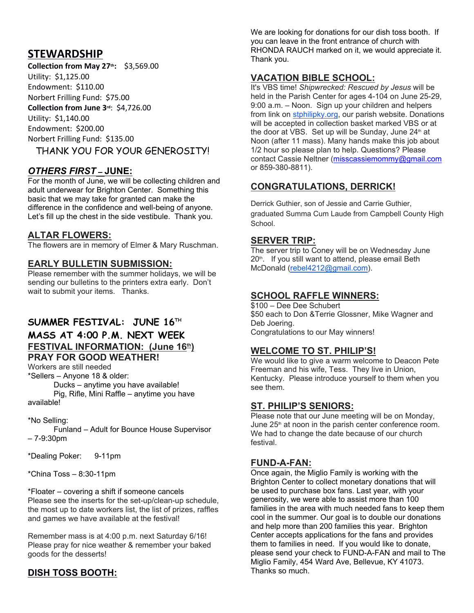# **STEWARDSHIP**

**Collection from May 27th:** \$3,569.00 Utility: \$1,125.00 Endowment: \$110.00 Norbert Frilling Fund: \$75.00 **Collection from June 3rd**: \$4,726.00 Utility: \$1,140.00 Endowment: \$200.00 Norbert Frilling Fund: \$135.00 THANK YOU FOR YOUR GENEROSITY!

# *OTHERS FIRST* **– JUNE:**

For the month of June, we will be collecting children and adult underwear for Brighton Center. Something this basic that we may take for granted can make the difference in the confidence and well-being of anyone. Let's fill up the chest in the side vestibule. Thank you.

#### **ALTAR FLOWERS:**

The flowers are in memory of Elmer & Mary Ruschman.

#### **EARLY BULLETIN SUBMISSION:**

Please remember with the summer holidays, we will be sending our bulletins to the printers extra early. Don't wait to submit your items. Thanks.

# **SUMMER FESTIVAL: JUNE 16TH MASS AT 4:00 P.M. NEXT WEEK FESTIVAL INFORMATION: (June 16th) PRAY FOR GOOD WEATHER!**

Workers are still needed \*Sellers – Anyone 18 & older:

 Ducks – anytime you have available! Pig, Rifle, Mini Raffle – anytime you have available!

#### \*No Selling:

 Funland – Adult for Bounce House Supervisor – 7-9:30pm

\*Dealing Poker: 9-11pm

\*China Toss – 8:30-11pm

\*Floater – covering a shift if someone cancels Please see the inserts for the set-up/clean-up schedule, the most up to date workers list, the list of prizes, raffles and games we have available at the festival!

Remember mass is at 4:00 p.m. next Saturday 6/16! Please pray for nice weather & remember your baked goods for the desserts!

# **DISH TOSS BOOTH:**

We are looking for donations for our dish toss booth. If you can leave in the front entrance of church with RHONDA RAUCH marked on it, we would appreciate it. Thank you.

#### **VACATION BIBLE SCHOOL:**

It's VBS time! *Shipwrecked: Rescued by Jesus* will be held in the Parish Center for ages 4-104 on June 25-29, 9:00 a.m. – Noon. Sign up your children and helpers from link on stphilipky.org, our parish website. Donations will be accepted in collection basket marked VBS or at the door at VBS. Set up will be Sunday, June 24<sup>th</sup> at Noon (after 11 mass). Many hands make this job about 1/2 hour so please plan to help. Questions? Please contact Cassie Neltner (misscassiemommy@gmail.com or 859-380-8811).

# **CONGRATULATIONS, DERRICK!**

Derrick Guthier, son of Jessie and Carrie Guthier, graduated Summa Cum Laude from Campbell County High School.

#### **SERVER TRIP:**

The server trip to Coney will be on Wednesday June  $20<sup>th</sup>$ . If you still want to attend, please email Beth McDonald (rebel4212@gmail.com).

#### **SCHOOL RAFFLE WINNERS:**

\$100 – Dee Dee Schubert \$50 each to Don &Terrie Glossner, Mike Wagner and Deb Joering. Congratulations to our May winners!

#### **WELCOME TO ST. PHILIP'S!**

We would like to give a warm welcome to Deacon Pete Freeman and his wife, Tess. They live in Union, Kentucky. Please introduce yourself to them when you see them.

#### **ST. PHILIP'S SENIORS:**

Please note that our June meeting will be on Monday, June  $25<sup>th</sup>$  at noon in the parish center conference room. We had to change the date because of our church festival.

#### **FUND-A-FAN:**

Once again, the Miglio Family is working with the Brighton Center to collect monetary donations that will be used to purchase box fans. Last year, with your generosity, we were able to assist more than 100 families in the area with much needed fans to keep them cool in the summer. Our goal is to double our donations and help more than 200 families this year. Brighton Center accepts applications for the fans and provides them to families in need. If you would like to donate, please send your check to FUND-A-FAN and mail to The Miglio Family, 454 Ward Ave, Bellevue, KY 41073. Thanks so much.